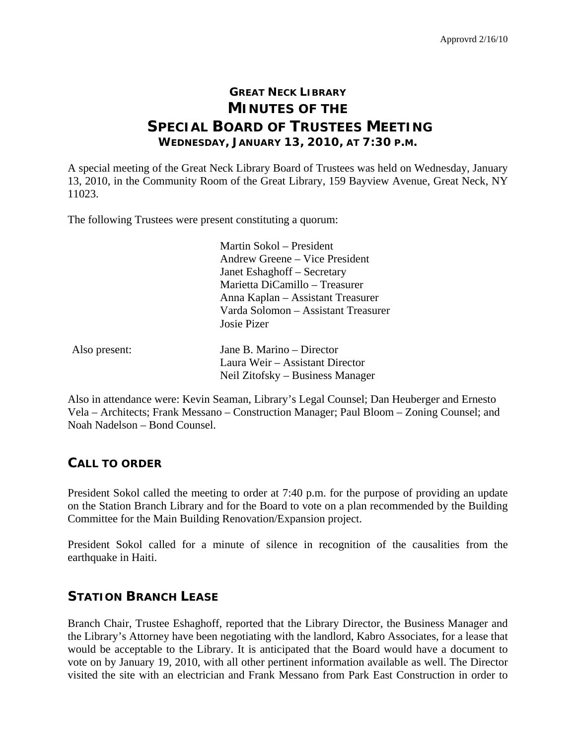# **GREAT NECK LIBRARY MINUTES OF THE SPECIAL BOARD OF TRUSTEES MEETING WEDNESDAY, JANUARY 13, 2010, AT 7:30 P.M.**

A special meeting of the Great Neck Library Board of Trustees was held on Wednesday, January 13, 2010, in the Community Room of the Great Library, 159 Bayview Avenue, Great Neck, NY 11023.

The following Trustees were present constituting a quorum:

 Martin Sokol – President Andrew Greene – Vice President Janet Eshaghoff – Secretary Marietta DiCamillo – Treasurer Anna Kaplan – Assistant Treasurer Varda Solomon – Assistant Treasurer Josie Pizer

| Also present: | Jane B. Marino – Director        |
|---------------|----------------------------------|
|               | Laura Weir – Assistant Director  |
|               | Neil Zitofsky – Business Manager |

Also in attendance were: Kevin Seaman, Library's Legal Counsel; Dan Heuberger and Ernesto Vela – Architects; Frank Messano – Construction Manager; Paul Bloom – Zoning Counsel; and Noah Nadelson – Bond Counsel.

#### **CALL TO ORDER**

President Sokol called the meeting to order at 7:40 p.m. for the purpose of providing an update on the Station Branch Library and for the Board to vote on a plan recommended by the Building Committee for the Main Building Renovation/Expansion project.

President Sokol called for a minute of silence in recognition of the causalities from the earthquake in Haiti.

### **STATION BRANCH LEASE**

Branch Chair, Trustee Eshaghoff, reported that the Library Director, the Business Manager and the Library's Attorney have been negotiating with the landlord, Kabro Associates, for a lease that would be acceptable to the Library. It is anticipated that the Board would have a document to vote on by January 19, 2010, with all other pertinent information available as well. The Director visited the site with an electrician and Frank Messano from Park East Construction in order to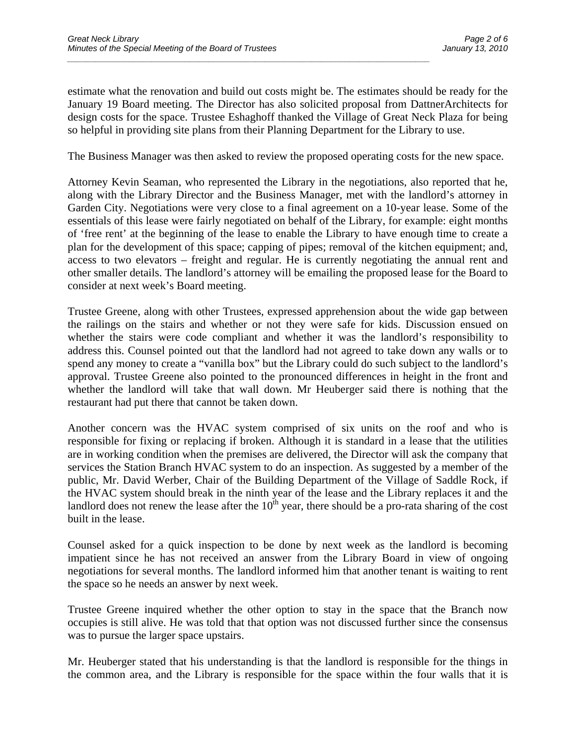estimate what the renovation and build out costs might be. The estimates should be ready for the January 19 Board meeting. The Director has also solicited proposal from DattnerArchitects for design costs for the space. Trustee Eshaghoff thanked the Village of Great Neck Plaza for being so helpful in providing site plans from their Planning Department for the Library to use.

*\_\_\_\_\_\_\_\_\_\_\_\_\_\_\_\_\_\_\_\_\_\_\_\_\_\_\_\_\_\_\_\_\_\_\_\_\_\_\_\_\_\_\_\_\_\_\_\_\_\_\_\_\_\_\_\_\_\_\_\_\_\_\_\_\_\_\_\_\_\_\_\_\_\_\_\_\_* 

The Business Manager was then asked to review the proposed operating costs for the new space.

Attorney Kevin Seaman, who represented the Library in the negotiations, also reported that he, along with the Library Director and the Business Manager, met with the landlord's attorney in Garden City. Negotiations were very close to a final agreement on a 10-year lease. Some of the essentials of this lease were fairly negotiated on behalf of the Library, for example: eight months of 'free rent' at the beginning of the lease to enable the Library to have enough time to create a plan for the development of this space; capping of pipes; removal of the kitchen equipment; and, access to two elevators – freight and regular. He is currently negotiating the annual rent and other smaller details. The landlord's attorney will be emailing the proposed lease for the Board to consider at next week's Board meeting.

Trustee Greene, along with other Trustees, expressed apprehension about the wide gap between the railings on the stairs and whether or not they were safe for kids. Discussion ensued on whether the stairs were code compliant and whether it was the landlord's responsibility to address this. Counsel pointed out that the landlord had not agreed to take down any walls or to spend any money to create a "vanilla box" but the Library could do such subject to the landlord's approval. Trustee Greene also pointed to the pronounced differences in height in the front and whether the landlord will take that wall down. Mr Heuberger said there is nothing that the restaurant had put there that cannot be taken down.

Another concern was the HVAC system comprised of six units on the roof and who is responsible for fixing or replacing if broken. Although it is standard in a lease that the utilities are in working condition when the premises are delivered, the Director will ask the company that services the Station Branch HVAC system to do an inspection. As suggested by a member of the public, Mr. David Werber, Chair of the Building Department of the Village of Saddle Rock, if the HVAC system should break in the ninth year of the lease and the Library replaces it and the landlord does not renew the lease after the  $10<sup>th</sup>$  year, there should be a pro-rata sharing of the cost built in the lease.

Counsel asked for a quick inspection to be done by next week as the landlord is becoming impatient since he has not received an answer from the Library Board in view of ongoing negotiations for several months. The landlord informed him that another tenant is waiting to rent the space so he needs an answer by next week.

Trustee Greene inquired whether the other option to stay in the space that the Branch now occupies is still alive. He was told that that option was not discussed further since the consensus was to pursue the larger space upstairs.

Mr. Heuberger stated that his understanding is that the landlord is responsible for the things in the common area, and the Library is responsible for the space within the four walls that it is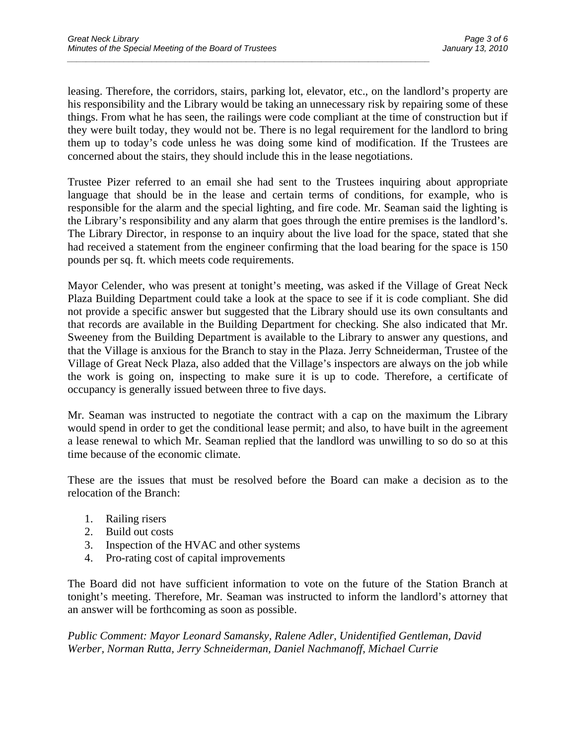leasing. Therefore, the corridors, stairs, parking lot, elevator, etc., on the landlord's property are his responsibility and the Library would be taking an unnecessary risk by repairing some of these things. From what he has seen, the railings were code compliant at the time of construction but if they were built today, they would not be. There is no legal requirement for the landlord to bring them up to today's code unless he was doing some kind of modification. If the Trustees are concerned about the stairs, they should include this in the lease negotiations.

*\_\_\_\_\_\_\_\_\_\_\_\_\_\_\_\_\_\_\_\_\_\_\_\_\_\_\_\_\_\_\_\_\_\_\_\_\_\_\_\_\_\_\_\_\_\_\_\_\_\_\_\_\_\_\_\_\_\_\_\_\_\_\_\_\_\_\_\_\_\_\_\_\_\_\_\_\_* 

Trustee Pizer referred to an email she had sent to the Trustees inquiring about appropriate language that should be in the lease and certain terms of conditions, for example, who is responsible for the alarm and the special lighting, and fire code. Mr. Seaman said the lighting is the Library's responsibility and any alarm that goes through the entire premises is the landlord's. The Library Director, in response to an inquiry about the live load for the space, stated that she had received a statement from the engineer confirming that the load bearing for the space is 150 pounds per sq. ft. which meets code requirements.

Mayor Celender, who was present at tonight's meeting, was asked if the Village of Great Neck Plaza Building Department could take a look at the space to see if it is code compliant. She did not provide a specific answer but suggested that the Library should use its own consultants and that records are available in the Building Department for checking. She also indicated that Mr. Sweeney from the Building Department is available to the Library to answer any questions, and that the Village is anxious for the Branch to stay in the Plaza. Jerry Schneiderman, Trustee of the Village of Great Neck Plaza, also added that the Village's inspectors are always on the job while the work is going on, inspecting to make sure it is up to code. Therefore, a certificate of occupancy is generally issued between three to five days.

Mr. Seaman was instructed to negotiate the contract with a cap on the maximum the Library would spend in order to get the conditional lease permit; and also, to have built in the agreement a lease renewal to which Mr. Seaman replied that the landlord was unwilling to so do so at this time because of the economic climate.

These are the issues that must be resolved before the Board can make a decision as to the relocation of the Branch:

- 1. Railing risers
- 2. Build out costs
- 3. Inspection of the HVAC and other systems
- 4. Pro-rating cost of capital improvements

The Board did not have sufficient information to vote on the future of the Station Branch at tonight's meeting. Therefore, Mr. Seaman was instructed to inform the landlord's attorney that an answer will be forthcoming as soon as possible.

*Public Comment: Mayor Leonard Samansky, Ralene Adler, Unidentified Gentleman, David Werber, Norman Rutta, Jerry Schneiderman, Daniel Nachmanoff, Michael Currie*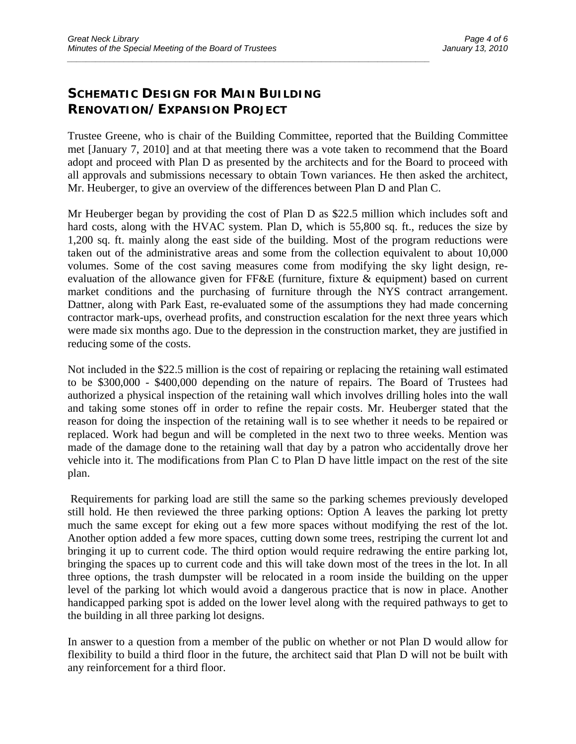# **SCHEMATIC DESIGN FOR MAIN BUILDING RENOVATION/EXPANSION PROJECT**

Trustee Greene, who is chair of the Building Committee, reported that the Building Committee met [January 7, 2010] and at that meeting there was a vote taken to recommend that the Board adopt and proceed with Plan D as presented by the architects and for the Board to proceed with all approvals and submissions necessary to obtain Town variances. He then asked the architect, Mr. Heuberger, to give an overview of the differences between Plan D and Plan C.

*\_\_\_\_\_\_\_\_\_\_\_\_\_\_\_\_\_\_\_\_\_\_\_\_\_\_\_\_\_\_\_\_\_\_\_\_\_\_\_\_\_\_\_\_\_\_\_\_\_\_\_\_\_\_\_\_\_\_\_\_\_\_\_\_\_\_\_\_\_\_\_\_\_\_\_\_\_* 

Mr Heuberger began by providing the cost of Plan D as \$22.5 million which includes soft and hard costs, along with the HVAC system. Plan D, which is 55,800 sq. ft., reduces the size by 1,200 sq. ft. mainly along the east side of the building. Most of the program reductions were taken out of the administrative areas and some from the collection equivalent to about 10,000 volumes. Some of the cost saving measures come from modifying the sky light design, reevaluation of the allowance given for FF&E (furniture, fixture & equipment) based on current market conditions and the purchasing of furniture through the NYS contract arrangement. Dattner, along with Park East, re-evaluated some of the assumptions they had made concerning contractor mark-ups, overhead profits, and construction escalation for the next three years which were made six months ago. Due to the depression in the construction market, they are justified in reducing some of the costs.

Not included in the \$22.5 million is the cost of repairing or replacing the retaining wall estimated to be \$300,000 - \$400,000 depending on the nature of repairs. The Board of Trustees had authorized a physical inspection of the retaining wall which involves drilling holes into the wall and taking some stones off in order to refine the repair costs. Mr. Heuberger stated that the reason for doing the inspection of the retaining wall is to see whether it needs to be repaired or replaced. Work had begun and will be completed in the next two to three weeks. Mention was made of the damage done to the retaining wall that day by a patron who accidentally drove her vehicle into it. The modifications from Plan C to Plan D have little impact on the rest of the site plan.

 Requirements for parking load are still the same so the parking schemes previously developed still hold. He then reviewed the three parking options: Option A leaves the parking lot pretty much the same except for eking out a few more spaces without modifying the rest of the lot. Another option added a few more spaces, cutting down some trees, restriping the current lot and bringing it up to current code. The third option would require redrawing the entire parking lot, bringing the spaces up to current code and this will take down most of the trees in the lot. In all three options, the trash dumpster will be relocated in a room inside the building on the upper level of the parking lot which would avoid a dangerous practice that is now in place. Another handicapped parking spot is added on the lower level along with the required pathways to get to the building in all three parking lot designs.

In answer to a question from a member of the public on whether or not Plan D would allow for flexibility to build a third floor in the future, the architect said that Plan D will not be built with any reinforcement for a third floor.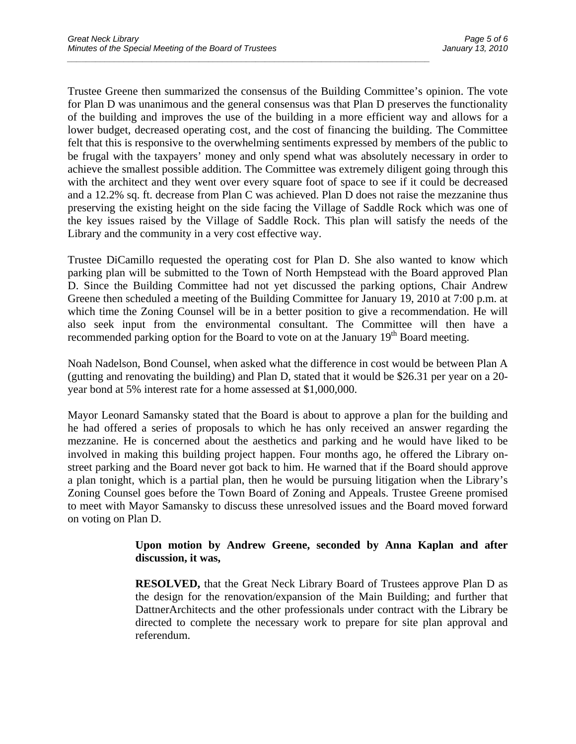Trustee Greene then summarized the consensus of the Building Committee's opinion. The vote for Plan D was unanimous and the general consensus was that Plan D preserves the functionality of the building and improves the use of the building in a more efficient way and allows for a lower budget, decreased operating cost, and the cost of financing the building. The Committee felt that this is responsive to the overwhelming sentiments expressed by members of the public to be frugal with the taxpayers' money and only spend what was absolutely necessary in order to achieve the smallest possible addition. The Committee was extremely diligent going through this with the architect and they went over every square foot of space to see if it could be decreased and a 12.2% sq. ft. decrease from Plan C was achieved. Plan D does not raise the mezzanine thus preserving the existing height on the side facing the Village of Saddle Rock which was one of the key issues raised by the Village of Saddle Rock. This plan will satisfy the needs of the Library and the community in a very cost effective way.

*\_\_\_\_\_\_\_\_\_\_\_\_\_\_\_\_\_\_\_\_\_\_\_\_\_\_\_\_\_\_\_\_\_\_\_\_\_\_\_\_\_\_\_\_\_\_\_\_\_\_\_\_\_\_\_\_\_\_\_\_\_\_\_\_\_\_\_\_\_\_\_\_\_\_\_\_\_* 

Trustee DiCamillo requested the operating cost for Plan D. She also wanted to know which parking plan will be submitted to the Town of North Hempstead with the Board approved Plan D. Since the Building Committee had not yet discussed the parking options, Chair Andrew Greene then scheduled a meeting of the Building Committee for January 19, 2010 at 7:00 p.m. at which time the Zoning Counsel will be in a better position to give a recommendation. He will also seek input from the environmental consultant. The Committee will then have a recommended parking option for the Board to vote on at the January  $19<sup>th</sup>$  Board meeting.

Noah Nadelson, Bond Counsel, when asked what the difference in cost would be between Plan A (gutting and renovating the building) and Plan D, stated that it would be \$26.31 per year on a 20 year bond at 5% interest rate for a home assessed at \$1,000,000.

Mayor Leonard Samansky stated that the Board is about to approve a plan for the building and he had offered a series of proposals to which he has only received an answer regarding the mezzanine. He is concerned about the aesthetics and parking and he would have liked to be involved in making this building project happen. Four months ago, he offered the Library onstreet parking and the Board never got back to him. He warned that if the Board should approve a plan tonight, which is a partial plan, then he would be pursuing litigation when the Library's Zoning Counsel goes before the Town Board of Zoning and Appeals. Trustee Greene promised to meet with Mayor Samansky to discuss these unresolved issues and the Board moved forward on voting on Plan D.

#### **Upon motion by Andrew Greene, seconded by Anna Kaplan and after discussion, it was,**

**RESOLVED,** that the Great Neck Library Board of Trustees approve Plan D as the design for the renovation/expansion of the Main Building; and further that DattnerArchitects and the other professionals under contract with the Library be directed to complete the necessary work to prepare for site plan approval and referendum.